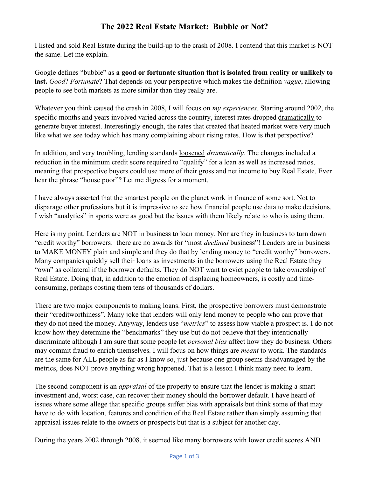## The 2022 Real Estate Market: Bubble or Not?

I listed and sold Real Estate during the build-up to the crash of 2008. I contend that this market is NOT the same. Let me explain.

Google defines "bubble" as a good or fortunate situation that is isolated from reality or unlikely to last. Good? Fortunate? That depends on your perspective which makes the definition vague, allowing people to see both markets as more similar than they really are.

Whatever you think caused the crash in 2008, I will focus on *my experiences*. Starting around 2002, the specific months and years involved varied across the country, interest rates dropped dramatically to generate buyer interest. Interestingly enough, the rates that created that heated market were very much like what we see today which has many complaining about rising rates. How is that perspective?

In addition, and very troubling, lending standards loosened *dramatically*. The changes included a reduction in the minimum credit score required to "qualify" for a loan as well as increased ratios, meaning that prospective buyers could use more of their gross and net income to buy Real Estate. Ever hear the phrase "house poor"? Let me digress for a moment.

I have always asserted that the smartest people on the planet work in finance of some sort. Not to disparage other professions but it is impressive to see how financial people use data to make decisions. I wish "analytics" in sports were as good but the issues with them likely relate to who is using them.

Here is my point. Lenders are NOT in business to loan money. Nor are they in business to turn down "credit worthy" borrowers: there are no awards for "most *declined* business"! Lenders are in business to MAKE MONEY plain and simple and they do that by lending money to "credit worthy" borrowers. Many companies quickly sell their loans as investments in the borrowers using the Real Estate they "own" as collateral if the borrower defaults. They do NOT want to evict people to take ownership of Real Estate. Doing that, in addition to the emotion of displacing homeowners, is costly and timeconsuming, perhaps costing them tens of thousands of dollars.

There are two major components to making loans. First, the prospective borrowers must demonstrate their "creditworthiness". Many joke that lenders will only lend money to people who can prove that they do not need the money. Anyway, lenders use "metrics" to assess how viable a prospect is. I do not know how they determine the "benchmarks" they use but do not believe that they intentionally discriminate although I am sure that some people let *personal bias* affect how they do business. Others may commit fraud to enrich themselves. I will focus on how things are *meant* to work. The standards are the same for ALL people as far as I know so, just because one group seems disadvantaged by the metrics, does NOT prove anything wrong happened. That is a lesson I think many need to learn.

The second component is an *appraisal* of the property to ensure that the lender is making a smart investment and, worst case, can recover their money should the borrower default. I have heard of issues where some allege that specific groups suffer bias with appraisals but think some of that may have to do with location, features and condition of the Real Estate rather than simply assuming that appraisal issues relate to the owners or prospects but that is a subject for another day.

During the years 2002 through 2008, it seemed like many borrowers with lower credit scores AND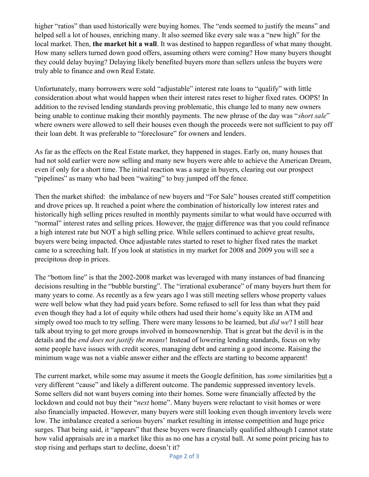higher "ratios" than used historically were buying homes. The "ends seemed to justify the means" and helped sell a lot of houses, enriching many. It also seemed like every sale was a "new high" for the local market. Then, the market hit a wall. It was destined to happen regardless of what many thought. How many sellers turned down good offers, assuming others were coming? How many buyers thought they could delay buying? Delaying likely benefited buyers more than sellers unless the buyers were truly able to finance and own Real Estate.

Unfortunately, many borrowers were sold "adjustable" interest rate loans to "qualify" with little consideration about what would happen when their interest rates reset to higher fixed rates. OOPS! In addition to the revised lending standards proving problematic, this change led to many new owners being unable to continue making their monthly payments. The new phrase of the day was "short sale" where owners were allowed to sell their houses even though the proceeds were not sufficient to pay off their loan debt. It was preferable to "foreclosure" for owners and lenders.

As far as the effects on the Real Estate market, they happened in stages. Early on, many houses that had not sold earlier were now selling and many new buyers were able to achieve the American Dream, even if only for a short time. The initial reaction was a surge in buyers, clearing out our prospect "pipelines" as many who had been "waiting" to buy jumped off the fence.

Then the market shifted: the imbalance of new buyers and "For Sale" houses created stiff competition and drove prices up. It reached a point where the combination of historically low interest rates and historically high selling prices resulted in monthly payments similar to what would have occurred with "normal" interest rates and selling prices. However, the major difference was that you could refinance a high interest rate but NOT a high selling price. While sellers continued to achieve great results, buyers were being impacted. Once adjustable rates started to reset to higher fixed rates the market came to a screeching halt. If you look at statistics in my market for 2008 and 2009 you will see a precipitous drop in prices.

The "bottom line" is that the 2002-2008 market was leveraged with many instances of bad financing decisions resulting in the "bubble bursting". The "irrational exuberance" of many buyers hurt them for many years to come. As recently as a few years ago I was still meeting sellers whose property values were well below what they had paid years before. Some refused to sell for less than what they paid even though they had a lot of equity while others had used their home's equity like an ATM and simply owed too much to try selling. There were many lessons to be learned, but *did we*? I still hear talk about trying to get more groups involved in homeownership. That is great but the devil is in the details and the *end does not justify the means!* Instead of lowering lending standards, focus on why some people have issues with credit scores, managing debt and earning a good income. Raising the minimum wage was not a viable answer either and the effects are starting to become apparent!

The current market, while some may assume it meets the Google definition, has *some* similarities but a very different "cause" and likely a different outcome. The pandemic suppressed inventory levels. Some sellers did not want buyers coming into their homes. Some were financially affected by the lockdown and could not buy their "next home". Many buyers were reluctant to visit homes or were also financially impacted. However, many buyers were still looking even though inventory levels were low. The imbalance created a serious buyers' market resulting in intense competition and huge price surges. That being said, it "appears" that these buyers were financially qualified although I cannot state how valid appraisals are in a market like this as no one has a crystal ball. At some point pricing has to stop rising and perhaps start to decline, doesn't it?